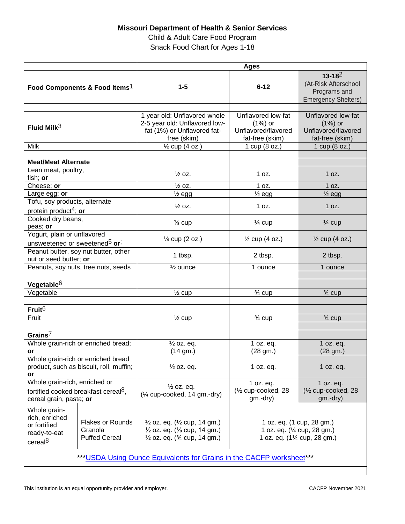## **Missouri Department of Health & Senior Services**

Child & Adult Care Food Program Snack Food Chart for Ages 1-18

|                                                                                                              |                                                            | <b>Ages</b>                                                                                                                                                    |                                                                                        |                                                                                   |
|--------------------------------------------------------------------------------------------------------------|------------------------------------------------------------|----------------------------------------------------------------------------------------------------------------------------------------------------------------|----------------------------------------------------------------------------------------|-----------------------------------------------------------------------------------|
| Food Components & Food Items <sup>1</sup>                                                                    |                                                            | $1 - 5$                                                                                                                                                        | $6 - 12$                                                                               | $13 - 18^2$<br>(At-Risk Afterschool<br>Programs and<br><b>Emergency Shelters)</b> |
| Fluid Milk $3$                                                                                               |                                                            | 1 year old: Unflavored whole<br>2-5 year old: Unflavored low-<br>fat (1%) or Unflavored fat-<br>free (skim)                                                    | Unflavored low-fat<br>$(1%)$ or<br>Unflavored/flavored<br>fat-free (skim)              | Unflavored low-fat<br>$(1%)$ or<br>Unflavored/flavored<br>fat-free (skim)         |
| <b>Milk</b>                                                                                                  |                                                            | $\frac{1}{2}$ cup (4 oz.)                                                                                                                                      | 1 cup (8 oz.)                                                                          | 1 cup (8 oz.)                                                                     |
|                                                                                                              |                                                            |                                                                                                                                                                |                                                                                        |                                                                                   |
| <b>Meat/Meat Alternate</b>                                                                                   |                                                            |                                                                                                                                                                |                                                                                        |                                                                                   |
| Lean meat, poultry,<br>fish; or                                                                              |                                                            | $\frac{1}{2}$ OZ.                                                                                                                                              | 1 oz.                                                                                  | 1 oz.                                                                             |
| Cheese; or                                                                                                   |                                                            | $\frac{1}{2}$ oz.                                                                                                                                              | 1 oz.                                                                                  | 1 oz.                                                                             |
| Large egg; or                                                                                                |                                                            | $\frac{1}{2}$ egg                                                                                                                                              | $\frac{1}{2}$ egg                                                                      | $\frac{1}{2}$ egg                                                                 |
| Tofu, soy products, alternate<br>protein product <sup>4</sup> ; or                                           |                                                            | $\frac{1}{2}$ oz.                                                                                                                                              | 1 oz.                                                                                  | 1 oz.                                                                             |
| Cooked dry beans,<br>peas; or                                                                                |                                                            | $\frac{1}{8}$ cup                                                                                                                                              | $\frac{1}{4}$ cup                                                                      | $\frac{1}{4}$ cup                                                                 |
| Yogurt, plain or unflavored<br>unsweetened or sweetened <sup>5</sup> or <sup>;</sup>                         |                                                            | $\frac{1}{4}$ cup (2 oz.)                                                                                                                                      | $\frac{1}{2}$ cup (4 oz.)                                                              | $\frac{1}{2}$ cup (4 oz.)                                                         |
| Peanut butter, soy nut butter, other<br>nut or seed butter; or                                               |                                                            | 1 tbsp.                                                                                                                                                        | 2 tbsp.                                                                                | 2 tbsp.                                                                           |
| Peanuts, soy nuts, tree nuts, seeds                                                                          |                                                            | $\frac{1}{2}$ ounce                                                                                                                                            | 1 ounce                                                                                | 1 ounce                                                                           |
| Vegetable <sup>6</sup>                                                                                       |                                                            |                                                                                                                                                                |                                                                                        |                                                                                   |
| Vegetable                                                                                                    |                                                            | $\frac{1}{2}$ cup                                                                                                                                              | $\frac{3}{4}$ cup                                                                      | $\frac{3}{4}$ cup                                                                 |
| Fruit <sup>6</sup>                                                                                           |                                                            |                                                                                                                                                                |                                                                                        |                                                                                   |
| Fruit                                                                                                        |                                                            | $\frac{1}{2}$ cup                                                                                                                                              | $\frac{3}{4}$ cup                                                                      | $\frac{3}{4}$ cup                                                                 |
|                                                                                                              |                                                            |                                                                                                                                                                |                                                                                        |                                                                                   |
| Grains $7$                                                                                                   |                                                            |                                                                                                                                                                |                                                                                        |                                                                                   |
| Whole grain-rich or enriched bread;<br>or                                                                    |                                                            | $\frac{1}{2}$ oz. eq.<br>(14 gm.)                                                                                                                              | 1 oz. eq.<br>$(28 \text{ gm.})$                                                        | 1 oz. eq.<br>(28 gm.)                                                             |
| Whole grain-rich or enriched bread<br>product, such as biscuit, roll, muffin;<br>or                          |                                                            | $\frac{1}{2}$ oz. eq.                                                                                                                                          | 1 oz. eq.                                                                              | 1 oz. eq.                                                                         |
| Whole grain-rich, enriched or<br>fortified cooked breakfast cereal <sup>8</sup> ,<br>cereal grain, pasta; or |                                                            | $\frac{1}{2}$ oz. eq.<br>(1/4 cup-cooked, 14 gm.-dry)                                                                                                          | 1 oz. eq.<br>(1/2 cup-cooked, 28<br>$gm.-dry)$                                         | 1 oz. eq.<br>(1/ <sub>2</sub> cup-cooked, 28<br>$gm.-dry)$                        |
| Whole grain-<br>rich, enriched<br>or fortified<br>ready-to-eat<br>cereal <sup>8</sup>                        | <b>Flakes or Rounds</b><br>Granola<br><b>Puffed Cereal</b> | $\frac{1}{2}$ oz. eq. ( $\frac{1}{2}$ cup, 14 gm.)<br>$\frac{1}{2}$ oz. eq. ( $\frac{1}{8}$ cup, 14 gm.)<br>$\frac{1}{2}$ oz. eq. ( $\frac{3}{4}$ cup, 14 gm.) | 1 oz. eq. (1 cup, 28 gm.)<br>1 oz. eq. (1/4 cup, 28 gm.)<br>1 oz. eq. (1¼ cup, 28 gm.) |                                                                                   |
| *** USDA Using Ounce Equivalents for Grains in the CACFP worksheet***                                        |                                                            |                                                                                                                                                                |                                                                                        |                                                                                   |